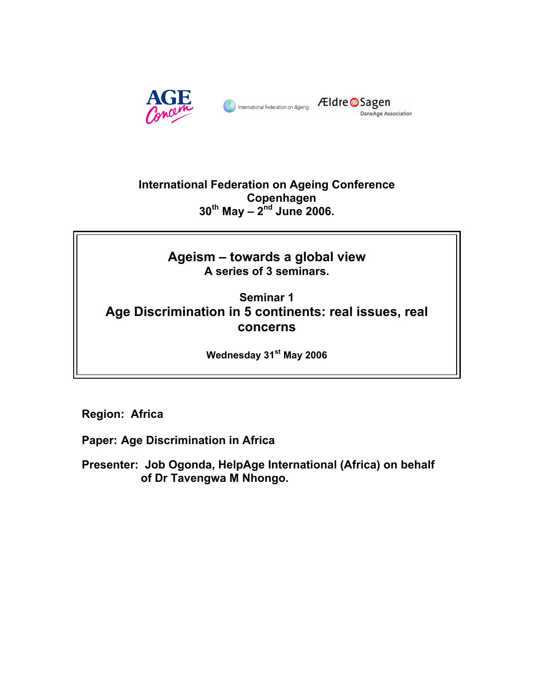

# **International Federation on Ageing Conference Copenhagen 30th May – 2nd June 2006.**

# **Ageism – towards a global view A series of 3 seminars.**

# **Seminar 1 Age Discrimination in 5 continents: real issues, real concerns**

**Wednesday 31st May 2006** 

**Region: Africa** 

**Paper: Age Discrimination in Africa** 

**Presenter: Job Ogonda, HelpAge International (Africa) on behalf of Dr Tavengwa M Nhongo.**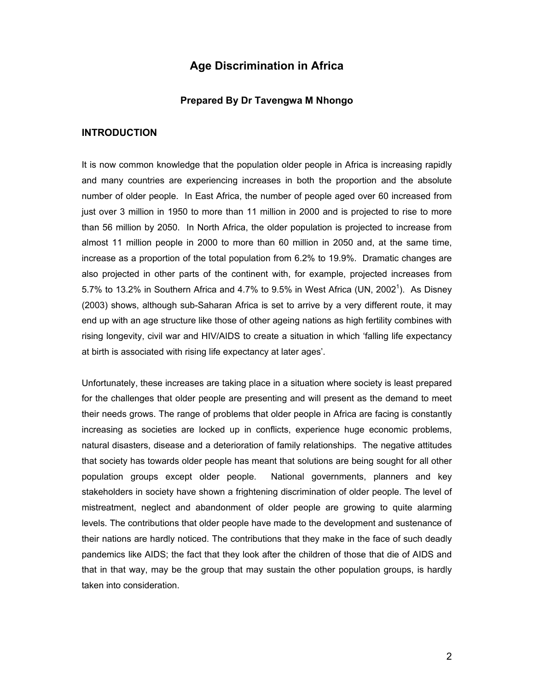# **Age Discrimination in Africa**

#### **Prepared By Dr Tavengwa M Nhongo**

#### **INTRODUCTION**

It is now common knowledge that the population older people in Africa is increasing rapidly and many countries are experiencing increases in both the proportion and the absolute number of older people. In East Africa, the number of people aged over 60 increased from just over 3 million in 1950 to more than 11 million in 2000 and is projected to rise to more than 56 million by 2050. In North Africa, the older population is projected to increase from almost 11 million people in 2000 to more than 60 million in 2050 and, at the same time, increase as a proportion of the total population from 6.2% to 19.9%. Dramatic changes are also projected in other parts of the continent with, for example, projected increases from 5.7% to 13.2% in Southern Africa and 4.7% to 9.5% in West Africa (UN, 2002<sup>1</sup>). As Disney (2003) shows, although sub-Saharan Africa is set to arrive by a very different route, it may end up with an age structure like those of other ageing nations as high fertility combines with rising longevity, civil war and HIV/AIDS to create a situation in which 'falling life expectancy at birth is associated with rising life expectancy at later ages'.

Unfortunately, these increases are taking place in a situation where society is least prepared for the challenges that older people are presenting and will present as the demand to meet their needs grows. The range of problems that older people in Africa are facing is constantly increasing as societies are locked up in conflicts, experience huge economic problems, natural disasters, disease and a deterioration of family relationships. The negative attitudes that society has towards older people has meant that solutions are being sought for all other population groups except older people. National governments, planners and key stakeholders in society have shown a frightening discrimination of older people. The level of mistreatment, neglect and abandonment of older people are growing to quite alarming levels. The contributions that older people have made to the development and sustenance of their nations are hardly noticed. The contributions that they make in the face of such deadly pandemics like AIDS; the fact that they look after the children of those that die of AIDS and that in that way, may be the group that may sustain the other population groups, is hardly taken into consideration.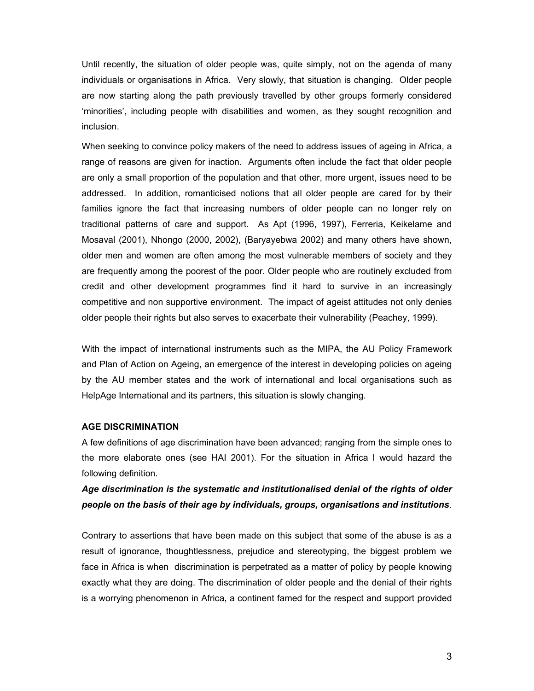Until recently, the situation of older people was, quite simply, not on the agenda of many individuals or organisations in Africa. Very slowly, that situation is changing. Older people are now starting along the path previously travelled by other groups formerly considered 'minorities', including people with disabilities and women, as they sought recognition and inclusion.

When seeking to convince policy makers of the need to address issues of ageing in Africa, a range of reasons are given for inaction. Arguments often include the fact that older people are only a small proportion of the population and that other, more urgent, issues need to be addressed. In addition, romanticised notions that all older people are cared for by their families ignore the fact that increasing numbers of older people can no longer rely on traditional patterns of care and support. As Apt (1996, 1997), Ferreria, Keikelame and Mosaval (2001), Nhongo (2000, 2002), (Baryayebwa 2002) and many others have shown, older men and women are often among the most vulnerable members of society and they are frequently among the poorest of the poor. Older people who are routinely excluded from credit and other development programmes find it hard to survive in an increasingly competitive and non supportive environment. The impact of ageist attitudes not only denies older people their rights but also serves to exacerbate their vulnerability (Peachey, 1999).

With the impact of international instruments such as the MIPA, the AU Policy Framework and Plan of Action on Ageing, an emergence of the interest in developing policies on ageing by the AU member states and the work of international and local organisations such as HelpAge International and its partners, this situation is slowly changing.

#### **AGE DISCRIMINATION**

-

A few definitions of age discrimination have been advanced; ranging from the simple ones to the more elaborate ones (see HAI 2001). For the situation in Africa I would hazard the following definition.

# *Age discrimination is the systematic and institutionalised denial of the rights of older people on the basis of their age by individuals, groups, organisations and institutions*.

Contrary to assertions that have been made on this subject that some of the abuse is as a result of ignorance, thoughtlessness, prejudice and stereotyping, the biggest problem we face in Africa is when discrimination is perpetrated as a matter of policy by people knowing exactly what they are doing. The discrimination of older people and the denial of their rights is a worrying phenomenon in Africa, a continent famed for the respect and support provided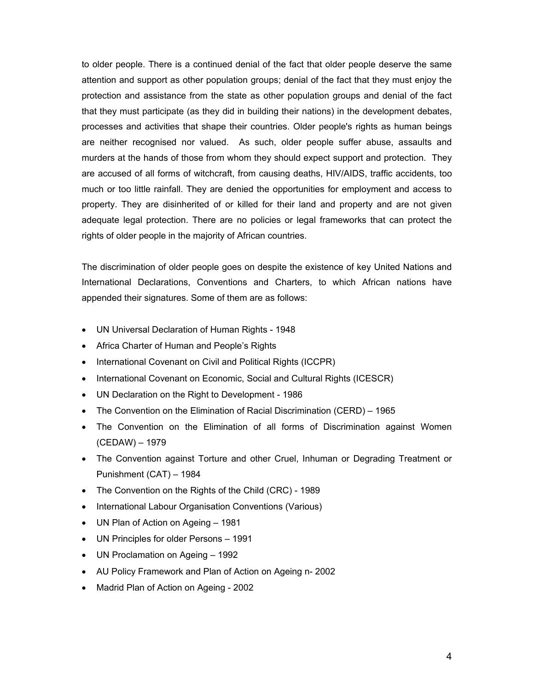to older people. There is a continued denial of the fact that older people deserve the same attention and support as other population groups; denial of the fact that they must enjoy the protection and assistance from the state as other population groups and denial of the fact that they must participate (as they did in building their nations) in the development debates, processes and activities that shape their countries. Older people's rights as human beings are neither recognised nor valued. As such, older people suffer abuse, assaults and murders at the hands of those from whom they should expect support and protection. They are accused of all forms of witchcraft, from causing deaths, HIV/AIDS, traffic accidents, too much or too little rainfall. They are denied the opportunities for employment and access to property. They are disinherited of or killed for their land and property and are not given adequate legal protection. There are no policies or legal frameworks that can protect the rights of older people in the majority of African countries.

The discrimination of older people goes on despite the existence of key United Nations and International Declarations, Conventions and Charters, to which African nations have appended their signatures. Some of them are as follows:

- UN Universal Declaration of Human Rights 1948
- Africa Charter of Human and People's Rights
- International Covenant on Civil and Political Rights (ICCPR)
- International Covenant on Economic, Social and Cultural Rights (ICESCR)
- UN Declaration on the Right to Development 1986
- The Convention on the Elimination of Racial Discrimination (CERD) 1965
- The Convention on the Elimination of all forms of Discrimination against Women (CEDAW) – 1979
- The Convention against Torture and other Cruel, Inhuman or Degrading Treatment or Punishment (CAT) – 1984
- The Convention on the Rights of the Child (CRC) 1989
- International Labour Organisation Conventions (Various)
- UN Plan of Action on Ageing 1981
- UN Principles for older Persons 1991
- UN Proclamation on Ageing 1992
- AU Policy Framework and Plan of Action on Ageing n- 2002
- Madrid Plan of Action on Ageing 2002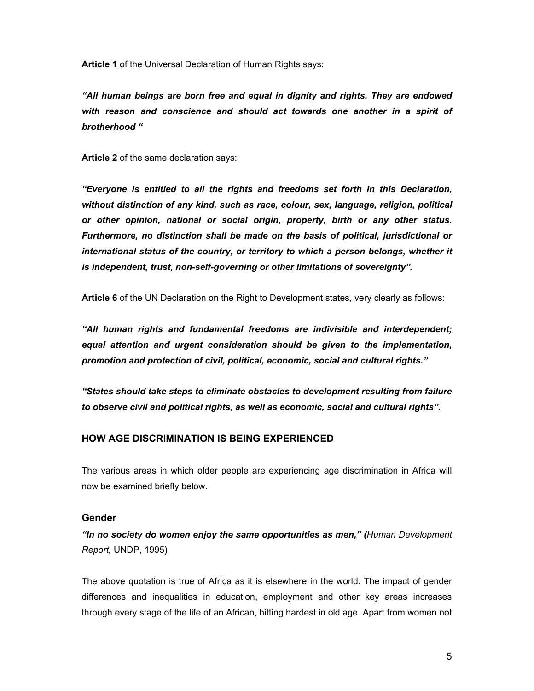**Article 1** of the Universal Declaration of Human Rights says:

*"All human beings are born free and equal in dignity and rights. They are endowed with reason and conscience and should act towards one another in a spirit of brotherhood "* 

**Article 2** of the same declaration says:

*"Everyone is entitled to all the rights and freedoms set forth in this Declaration, without distinction of any kind, such as race, colour, sex, language, religion, political or other opinion, national or social origin, property, birth or any other status. Furthermore, no distinction shall be made on the basis of political, jurisdictional or international status of the country, or territory to which a person belongs, whether it is independent, trust, non-self-governing or other limitations of sovereignty".* 

**Article 6** of the UN Declaration on the Right to Development states, very clearly as follows:

*"All human rights and fundamental freedoms are indivisible and interdependent;*  equal attention and urgent consideration should be given to the implementation, *promotion and protection of civil, political, economic, social and cultural rights."* 

*"States should take steps to eliminate obstacles to development resulting from failure to observe civil and political rights, as well as economic, social and cultural rights".* 

# **HOW AGE DISCRIMINATION IS BEING EXPERIENCED**

The various areas in which older people are experiencing age discrimination in Africa will now be examined briefly below.

## **Gender**

*"In no society do women enjoy the same opportunities as men," (Human Development Report,* UNDP, 1995)

The above quotation is true of Africa as it is elsewhere in the world. The impact of gender differences and inequalities in education, employment and other key areas increases through every stage of the life of an African, hitting hardest in old age. Apart from women not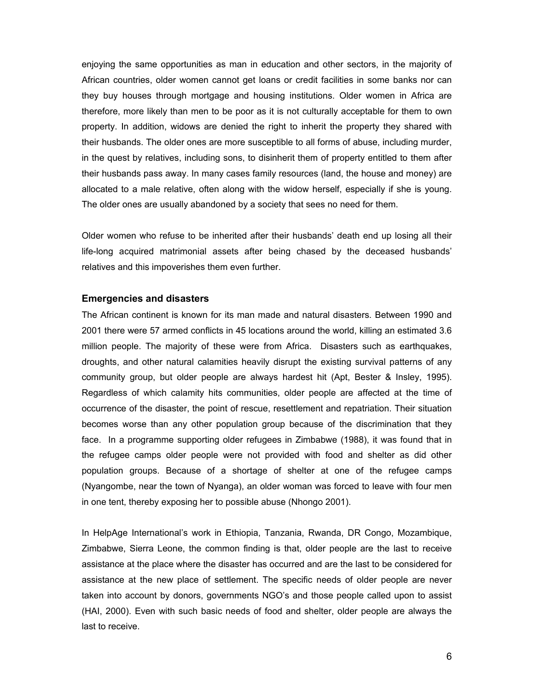enjoying the same opportunities as man in education and other sectors, in the majority of African countries, older women cannot get loans or credit facilities in some banks nor can they buy houses through mortgage and housing institutions. Older women in Africa are therefore, more likely than men to be poor as it is not culturally acceptable for them to own property. In addition, widows are denied the right to inherit the property they shared with their husbands. The older ones are more susceptible to all forms of abuse, including murder, in the quest by relatives, including sons, to disinherit them of property entitled to them after their husbands pass away. In many cases family resources (land, the house and money) are allocated to a male relative, often along with the widow herself, especially if she is young. The older ones are usually abandoned by a society that sees no need for them.

Older women who refuse to be inherited after their husbands' death end up losing all their life-long acquired matrimonial assets after being chased by the deceased husbands' relatives and this impoverishes them even further.

#### **Emergencies and disasters**

The African continent is known for its man made and natural disasters. Between 1990 and 2001 there were 57 armed conflicts in 45 locations around the world, killing an estimated 3.6 million people. The majority of these were from Africa. Disasters such as earthquakes, droughts, and other natural calamities heavily disrupt the existing survival patterns of any community group, but older people are always hardest hit (Apt, Bester & Insley, 1995). Regardless of which calamity hits communities, older people are affected at the time of occurrence of the disaster, the point of rescue, resettlement and repatriation. Their situation becomes worse than any other population group because of the discrimination that they face. In a programme supporting older refugees in Zimbabwe (1988), it was found that in the refugee camps older people were not provided with food and shelter as did other population groups. Because of a shortage of shelter at one of the refugee camps (Nyangombe, near the town of Nyanga), an older woman was forced to leave with four men in one tent, thereby exposing her to possible abuse (Nhongo 2001).

In HelpAge International's work in Ethiopia, Tanzania, Rwanda, DR Congo, Mozambique, Zimbabwe, Sierra Leone, the common finding is that, older people are the last to receive assistance at the place where the disaster has occurred and are the last to be considered for assistance at the new place of settlement. The specific needs of older people are never taken into account by donors, governments NGO's and those people called upon to assist (HAI, 2000). Even with such basic needs of food and shelter, older people are always the last to receive.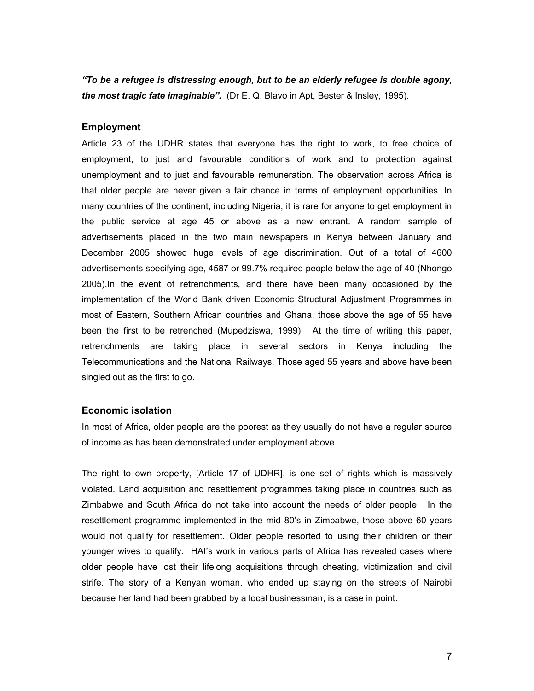*"To be a refugee is distressing enough, but to be an elderly refugee is double agony, the most tragic fate imaginable".* (Dr E. Q. Blavo in Apt, Bester & Insley, 1995).

#### **Employment**

Article 23 of the UDHR states that everyone has the right to work, to free choice of employment, to just and favourable conditions of work and to protection against unemployment and to just and favourable remuneration. The observation across Africa is that older people are never given a fair chance in terms of employment opportunities. In many countries of the continent, including Nigeria, it is rare for anyone to get employment in the public service at age 45 or above as a new entrant. A random sample of advertisements placed in the two main newspapers in Kenya between January and December 2005 showed huge levels of age discrimination. Out of a total of 4600 advertisements specifying age, 4587 or 99.7% required people below the age of 40 (Nhongo 2005).In the event of retrenchments, and there have been many occasioned by the implementation of the World Bank driven Economic Structural Adjustment Programmes in most of Eastern, Southern African countries and Ghana, those above the age of 55 have been the first to be retrenched (Mupedziswa, 1999). At the time of writing this paper, retrenchments are taking place in several sectors in Kenya including the Telecommunications and the National Railways. Those aged 55 years and above have been singled out as the first to go.

#### **Economic isolation**

In most of Africa, older people are the poorest as they usually do not have a regular source of income as has been demonstrated under employment above.

The right to own property, [Article 17 of UDHR], is one set of rights which is massively violated. Land acquisition and resettlement programmes taking place in countries such as Zimbabwe and South Africa do not take into account the needs of older people. In the resettlement programme implemented in the mid 80's in Zimbabwe, those above 60 years would not qualify for resettlement. Older people resorted to using their children or their younger wives to qualify. HAI's work in various parts of Africa has revealed cases where older people have lost their lifelong acquisitions through cheating, victimization and civil strife. The story of a Kenyan woman, who ended up staying on the streets of Nairobi because her land had been grabbed by a local businessman, is a case in point.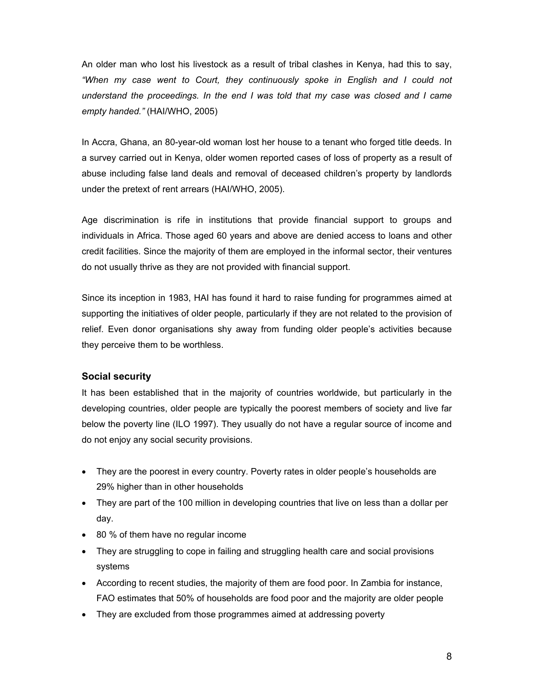An older man who lost his livestock as a result of tribal clashes in Kenya, had this to say, *"When my case went to Court, they continuously spoke in English and I could not understand the proceedings. In the end I was told that my case was closed and I came empty handed."* (HAI/WHO, 2005)

In Accra, Ghana, an 80-year-old woman lost her house to a tenant who forged title deeds. In a survey carried out in Kenya, older women reported cases of loss of property as a result of abuse including false land deals and removal of deceased children's property by landlords under the pretext of rent arrears (HAI/WHO, 2005).

Age discrimination is rife in institutions that provide financial support to groups and individuals in Africa. Those aged 60 years and above are denied access to loans and other credit facilities. Since the majority of them are employed in the informal sector, their ventures do not usually thrive as they are not provided with financial support.

Since its inception in 1983, HAI has found it hard to raise funding for programmes aimed at supporting the initiatives of older people, particularly if they are not related to the provision of relief. Even donor organisations shy away from funding older people's activities because they perceive them to be worthless.

## **Social security**

It has been established that in the majority of countries worldwide, but particularly in the developing countries, older people are typically the poorest members of society and live far below the poverty line (ILO 1997). They usually do not have a regular source of income and do not enjoy any social security provisions.

- They are the poorest in every country. Poverty rates in older people's households are 29% higher than in other households
- They are part of the 100 million in developing countries that live on less than a dollar per day.
- 80 % of them have no regular income
- They are struggling to cope in failing and struggling health care and social provisions systems
- According to recent studies, the majority of them are food poor. In Zambia for instance, FAO estimates that 50% of households are food poor and the majority are older people
- They are excluded from those programmes aimed at addressing poverty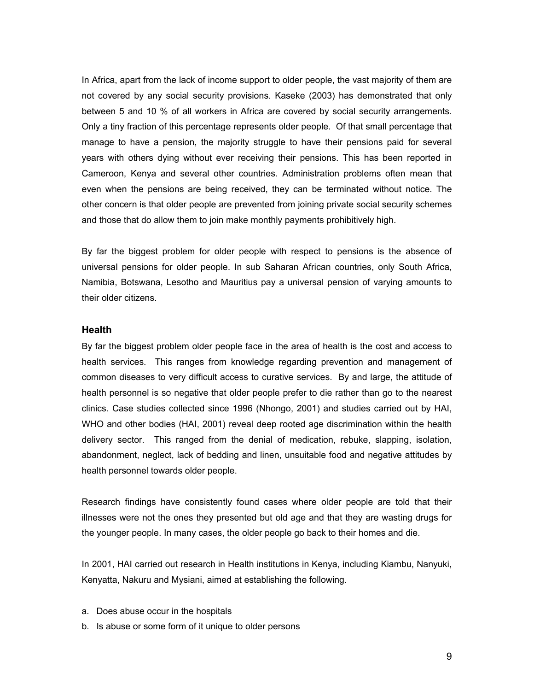In Africa, apart from the lack of income support to older people, the vast majority of them are not covered by any social security provisions. Kaseke (2003) has demonstrated that only between 5 and 10 % of all workers in Africa are covered by social security arrangements. Only a tiny fraction of this percentage represents older people. Of that small percentage that manage to have a pension, the majority struggle to have their pensions paid for several years with others dying without ever receiving their pensions. This has been reported in Cameroon, Kenya and several other countries. Administration problems often mean that even when the pensions are being received, they can be terminated without notice. The other concern is that older people are prevented from joining private social security schemes and those that do allow them to join make monthly payments prohibitively high.

By far the biggest problem for older people with respect to pensions is the absence of universal pensions for older people. In sub Saharan African countries, only South Africa, Namibia, Botswana, Lesotho and Mauritius pay a universal pension of varying amounts to their older citizens.

#### **Health**

By far the biggest problem older people face in the area of health is the cost and access to health services. This ranges from knowledge regarding prevention and management of common diseases to very difficult access to curative services. By and large, the attitude of health personnel is so negative that older people prefer to die rather than go to the nearest clinics. Case studies collected since 1996 (Nhongo, 2001) and studies carried out by HAI, WHO and other bodies (HAI, 2001) reveal deep rooted age discrimination within the health delivery sector. This ranged from the denial of medication, rebuke, slapping, isolation, abandonment, neglect, lack of bedding and linen, unsuitable food and negative attitudes by health personnel towards older people.

Research findings have consistently found cases where older people are told that their illnesses were not the ones they presented but old age and that they are wasting drugs for the younger people. In many cases, the older people go back to their homes and die.

In 2001, HAI carried out research in Health institutions in Kenya, including Kiambu, Nanyuki, Kenyatta, Nakuru and Mysiani, aimed at establishing the following.

- a. Does abuse occur in the hospitals
- b. Is abuse or some form of it unique to older persons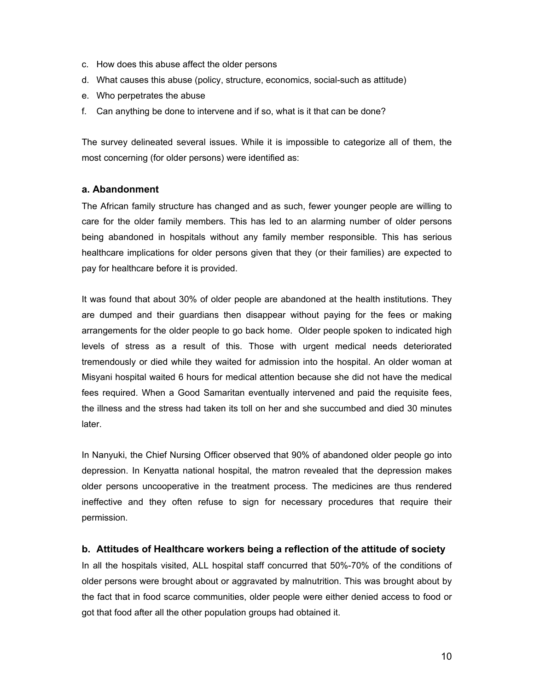- c. How does this abuse affect the older persons
- d. What causes this abuse (policy, structure, economics, social-such as attitude)
- e. Who perpetrates the abuse
- f. Can anything be done to intervene and if so, what is it that can be done?

The survey delineated several issues. While it is impossible to categorize all of them, the most concerning (for older persons) were identified as:

## **a. Abandonment**

The African family structure has changed and as such, fewer younger people are willing to care for the older family members. This has led to an alarming number of older persons being abandoned in hospitals without any family member responsible. This has serious healthcare implications for older persons given that they (or their families) are expected to pay for healthcare before it is provided.

It was found that about 30% of older people are abandoned at the health institutions. They are dumped and their guardians then disappear without paying for the fees or making arrangements for the older people to go back home. Older people spoken to indicated high levels of stress as a result of this. Those with urgent medical needs deteriorated tremendously or died while they waited for admission into the hospital. An older woman at Misyani hospital waited 6 hours for medical attention because she did not have the medical fees required. When a Good Samaritan eventually intervened and paid the requisite fees, the illness and the stress had taken its toll on her and she succumbed and died 30 minutes later.

In Nanyuki, the Chief Nursing Officer observed that 90% of abandoned older people go into depression. In Kenyatta national hospital, the matron revealed that the depression makes older persons uncooperative in the treatment process. The medicines are thus rendered ineffective and they often refuse to sign for necessary procedures that require their permission.

#### **b. Attitudes of Healthcare workers being a reflection of the attitude of society**

In all the hospitals visited, ALL hospital staff concurred that 50%-70% of the conditions of older persons were brought about or aggravated by malnutrition. This was brought about by the fact that in food scarce communities, older people were either denied access to food or got that food after all the other population groups had obtained it.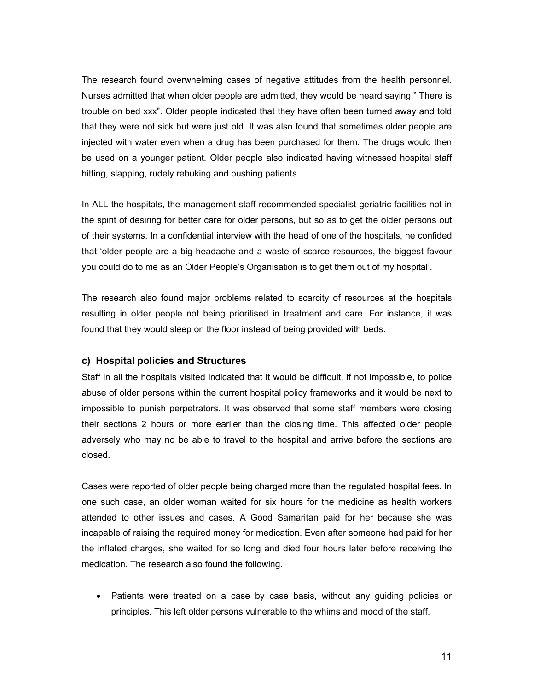The research found overwhelming cases of negative attitudes from the health personnel. Nurses admitted that when older people are admitted, they would be heard saying," There is trouble on bed xxx". Older people indicated that they have often been turned away and told that they were not sick but were just old. It was also found that sometimes older people are injected with water even when a drug has been purchased for them. The drugs would then be used on a younger patient. Older people also indicated having witnessed hospital staff hitting, slapping, rudely rebuking and pushing patients.

In ALL the hospitals, the management staff recommended specialist geriatric facilities not in the spirit of desiring for better care for older persons, but so as to get the older persons out of their systems. In a confidential interview with the head of one of the hospitals, he confided that 'older people are a big headache and a waste of scarce resources, the biggest favour you could do to me as an Older People's Organisation is to get them out of my hospital'.

The research also found major problems related to scarcity of resources at the hospitals resulting in older people not being prioritised in treatment and care. For instance, it was found that they would sleep on the floor instead of being provided with beds.

## **c) Hospital policies and Structures**

Staff in all the hospitals visited indicated that it would be difficult, if not impossible, to police abuse of older persons within the current hospital policy frameworks and it would be next to impossible to punish perpetrators. It was observed that some staff members were closing their sections 2 hours or more earlier than the closing time. This affected older people adversely who may no be able to travel to the hospital and arrive before the sections are closed.

Cases were reported of older people being charged more than the regulated hospital fees. In one such case, an older woman waited for six hours for the medicine as health workers attended to other issues and cases. A Good Samaritan paid for her because she was incapable of raising the required money for medication. Even after someone had paid for her the inflated charges, she waited for so long and died four hours later before receiving the medication. The research also found the following.

• Patients were treated on a case by case basis, without any guiding policies or principles. This left older persons vulnerable to the whims and mood of the staff.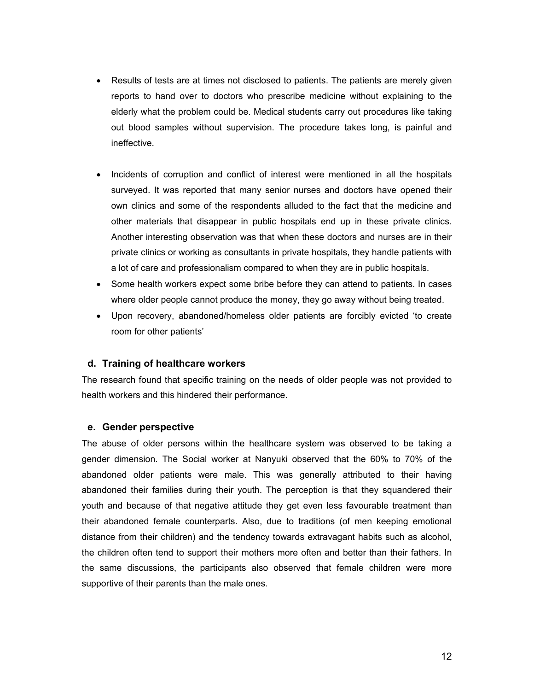- Results of tests are at times not disclosed to patients. The patients are merely given reports to hand over to doctors who prescribe medicine without explaining to the elderly what the problem could be. Medical students carry out procedures like taking out blood samples without supervision. The procedure takes long, is painful and ineffective.
- Incidents of corruption and conflict of interest were mentioned in all the hospitals surveyed. It was reported that many senior nurses and doctors have opened their own clinics and some of the respondents alluded to the fact that the medicine and other materials that disappear in public hospitals end up in these private clinics. Another interesting observation was that when these doctors and nurses are in their private clinics or working as consultants in private hospitals, they handle patients with a lot of care and professionalism compared to when they are in public hospitals.
- Some health workers expect some bribe before they can attend to patients. In cases where older people cannot produce the money, they go away without being treated.
- Upon recovery, abandoned/homeless older patients are forcibly evicted 'to create room for other patients'

## **d. Training of healthcare workers**

The research found that specific training on the needs of older people was not provided to health workers and this hindered their performance.

## **e. Gender perspective**

The abuse of older persons within the healthcare system was observed to be taking a gender dimension. The Social worker at Nanyuki observed that the 60% to 70% of the abandoned older patients were male. This was generally attributed to their having abandoned their families during their youth. The perception is that they squandered their youth and because of that negative attitude they get even less favourable treatment than their abandoned female counterparts. Also, due to traditions (of men keeping emotional distance from their children) and the tendency towards extravagant habits such as alcohol, the children often tend to support their mothers more often and better than their fathers. In the same discussions, the participants also observed that female children were more supportive of their parents than the male ones.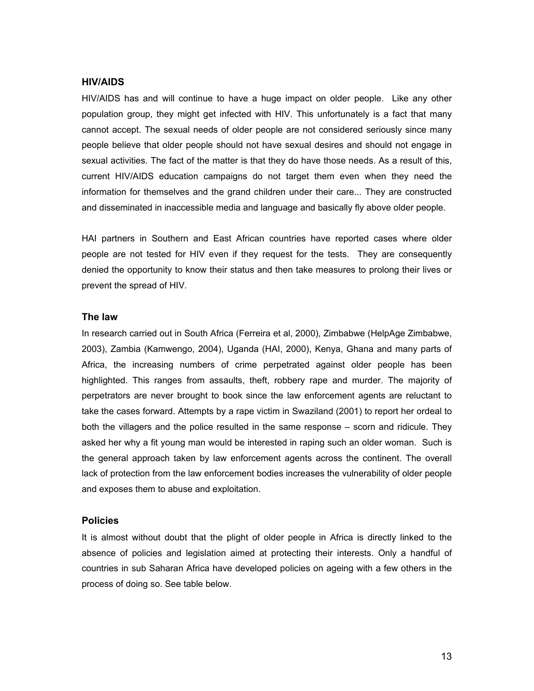## **HIV/AIDS**

HIV/AIDS has and will continue to have a huge impact on older people. Like any other population group, they might get infected with HIV. This unfortunately is a fact that many cannot accept. The sexual needs of older people are not considered seriously since many people believe that older people should not have sexual desires and should not engage in sexual activities. The fact of the matter is that they do have those needs. As a result of this, current HIV/AIDS education campaigns do not target them even when they need the information for themselves and the grand children under their care... They are constructed and disseminated in inaccessible media and language and basically fly above older people.

HAI partners in Southern and East African countries have reported cases where older people are not tested for HIV even if they request for the tests. They are consequently denied the opportunity to know their status and then take measures to prolong their lives or prevent the spread of HIV.

#### **The law**

In research carried out in South Africa (Ferreira et al, 2000), Zimbabwe (HelpAge Zimbabwe, 2003), Zambia (Kamwengo, 2004), Uganda (HAI, 2000), Kenya, Ghana and many parts of Africa, the increasing numbers of crime perpetrated against older people has been highlighted. This ranges from assaults, theft, robbery rape and murder. The majority of perpetrators are never brought to book since the law enforcement agents are reluctant to take the cases forward. Attempts by a rape victim in Swaziland (2001) to report her ordeal to both the villagers and the police resulted in the same response – scorn and ridicule. They asked her why a fit young man would be interested in raping such an older woman. Such is the general approach taken by law enforcement agents across the continent. The overall lack of protection from the law enforcement bodies increases the vulnerability of older people and exposes them to abuse and exploitation.

# **Policies**

It is almost without doubt that the plight of older people in Africa is directly linked to the absence of policies and legislation aimed at protecting their interests. Only a handful of countries in sub Saharan Africa have developed policies on ageing with a few others in the process of doing so. See table below.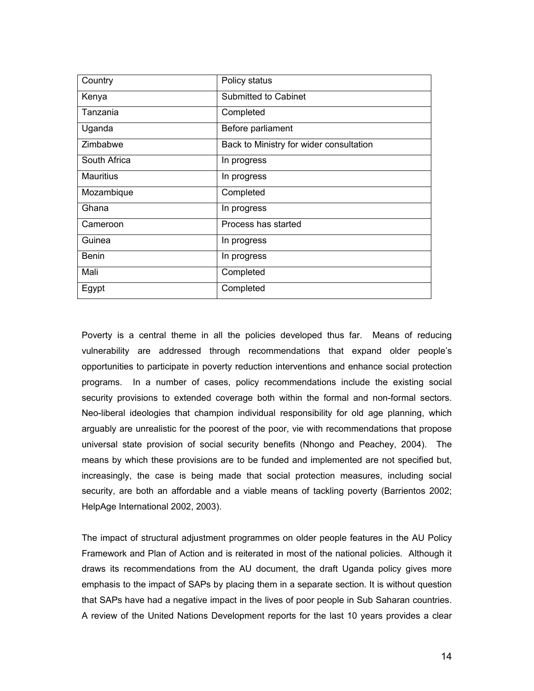| Country          | Policy status                           |
|------------------|-----------------------------------------|
| Kenya            | Submitted to Cabinet                    |
| Tanzania         | Completed                               |
| Uganda           | Before parliament                       |
| Zimbabwe         | Back to Ministry for wider consultation |
| South Africa     | In progress                             |
| <b>Mauritius</b> | In progress                             |
| Mozambique       | Completed                               |
| Ghana            | In progress                             |
| Cameroon         | Process has started                     |
| Guinea           | In progress                             |
| <b>Benin</b>     | In progress                             |
| Mali             | Completed                               |
| Egypt            | Completed                               |

Poverty is a central theme in all the policies developed thus far. Means of reducing vulnerability are addressed through recommendations that expand older people's opportunities to participate in poverty reduction interventions and enhance social protection programs. In a number of cases, policy recommendations include the existing social security provisions to extended coverage both within the formal and non-formal sectors. Neo-liberal ideologies that champion individual responsibility for old age planning, which arguably are unrealistic for the poorest of the poor, vie with recommendations that propose universal state provision of social security benefits (Nhongo and Peachey, 2004). The means by which these provisions are to be funded and implemented are not specified but, increasingly, the case is being made that social protection measures, including social security, are both an affordable and a viable means of tackling poverty (Barrientos 2002; HelpAge International 2002, 2003).

The impact of structural adjustment programmes on older people features in the AU Policy Framework and Plan of Action and is reiterated in most of the national policies. Although it draws its recommendations from the AU document, the draft Uganda policy gives more emphasis to the impact of SAPs by placing them in a separate section. It is without question that SAPs have had a negative impact in the lives of poor people in Sub Saharan countries. A review of the United Nations Development reports for the last 10 years provides a clear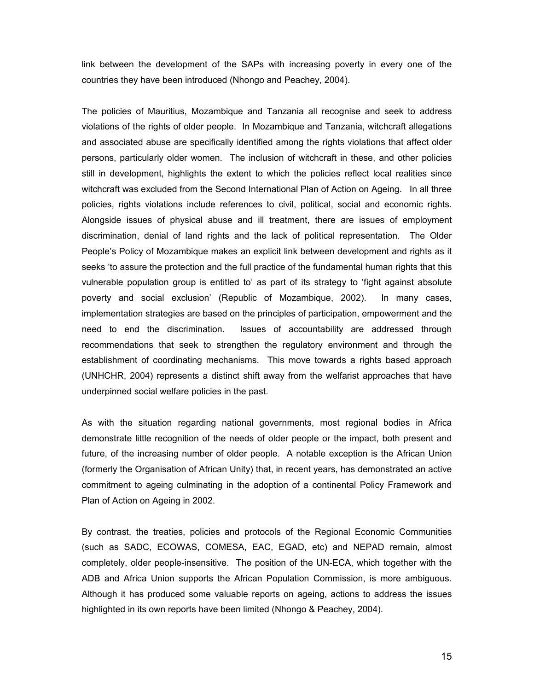link between the development of the SAPs with increasing poverty in every one of the countries they have been introduced (Nhongo and Peachey, 2004).

The policies of Mauritius, Mozambique and Tanzania all recognise and seek to address violations of the rights of older people. In Mozambique and Tanzania, witchcraft allegations and associated abuse are specifically identified among the rights violations that affect older persons, particularly older women. The inclusion of witchcraft in these, and other policies still in development, highlights the extent to which the policies reflect local realities since witchcraft was excluded from the Second International Plan of Action on Ageing. In all three policies, rights violations include references to civil, political, social and economic rights. Alongside issues of physical abuse and ill treatment, there are issues of employment discrimination, denial of land rights and the lack of political representation. The Older People's Policy of Mozambique makes an explicit link between development and rights as it seeks 'to assure the protection and the full practice of the fundamental human rights that this vulnerable population group is entitled to' as part of its strategy to 'fight against absolute poverty and social exclusion' (Republic of Mozambique, 2002). In many cases, implementation strategies are based on the principles of participation, empowerment and the need to end the discrimination. Issues of accountability are addressed through recommendations that seek to strengthen the regulatory environment and through the establishment of coordinating mechanisms. This move towards a rights based approach (UNHCHR, 2004) represents a distinct shift away from the welfarist approaches that have underpinned social welfare policies in the past.

As with the situation regarding national governments, most regional bodies in Africa demonstrate little recognition of the needs of older people or the impact, both present and future, of the increasing number of older people. A notable exception is the African Union (formerly the Organisation of African Unity) that, in recent years, has demonstrated an active commitment to ageing culminating in the adoption of a continental Policy Framework and Plan of Action on Ageing in 2002.

By contrast, the treaties, policies and protocols of the Regional Economic Communities (such as SADC, ECOWAS, COMESA, EAC, EGAD, etc) and NEPAD remain, almost completely, older people-insensitive. The position of the UN-ECA, which together with the ADB and Africa Union supports the African Population Commission, is more ambiguous. Although it has produced some valuable reports on ageing, actions to address the issues highlighted in its own reports have been limited (Nhongo & Peachey, 2004).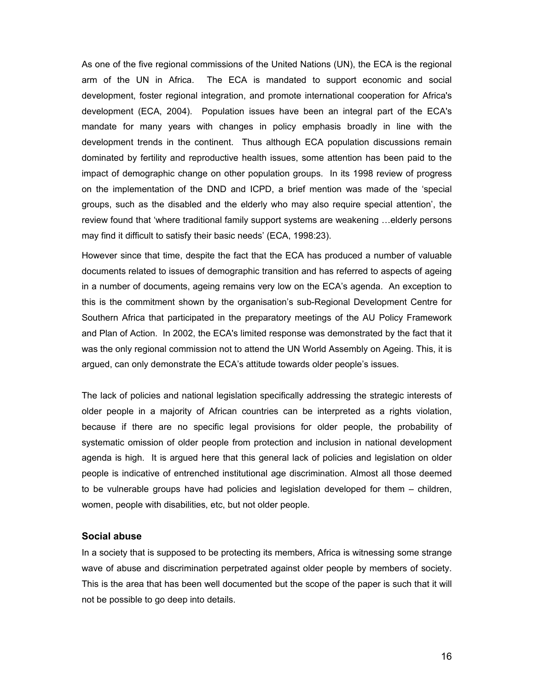As one of the five regional commissions of the United Nations (UN), the ECA is the regional arm of the UN in Africa. The ECA is mandated to support economic and social development, foster regional integration, and promote international cooperation for Africa's development (ECA, 2004). Population issues have been an integral part of the ECA's mandate for many years with changes in policy emphasis broadly in line with the development trends in the continent. Thus although ECA population discussions remain dominated by fertility and reproductive health issues, some attention has been paid to the impact of demographic change on other population groups. In its 1998 review of progress on the implementation of the DND and ICPD, a brief mention was made of the 'special groups, such as the disabled and the elderly who may also require special attention', the review found that 'where traditional family support systems are weakening …elderly persons may find it difficult to satisfy their basic needs' (ECA, 1998:23).

However since that time, despite the fact that the ECA has produced a number of valuable documents related to issues of demographic transition and has referred to aspects of ageing in a number of documents, ageing remains very low on the ECA's agenda. An exception to this is the commitment shown by the organisation's sub-Regional Development Centre for Southern Africa that participated in the preparatory meetings of the AU Policy Framework and Plan of Action. In 2002, the ECA's limited response was demonstrated by the fact that it was the only regional commission not to attend the UN World Assembly on Ageing. This, it is argued, can only demonstrate the ECA's attitude towards older people's issues.

The lack of policies and national legislation specifically addressing the strategic interests of older people in a majority of African countries can be interpreted as a rights violation, because if there are no specific legal provisions for older people, the probability of systematic omission of older people from protection and inclusion in national development agenda is high. It is argued here that this general lack of policies and legislation on older people is indicative of entrenched institutional age discrimination. Almost all those deemed to be vulnerable groups have had policies and legislation developed for them – children, women, people with disabilities, etc, but not older people.

#### **Social abuse**

In a society that is supposed to be protecting its members, Africa is witnessing some strange wave of abuse and discrimination perpetrated against older people by members of society. This is the area that has been well documented but the scope of the paper is such that it will not be possible to go deep into details.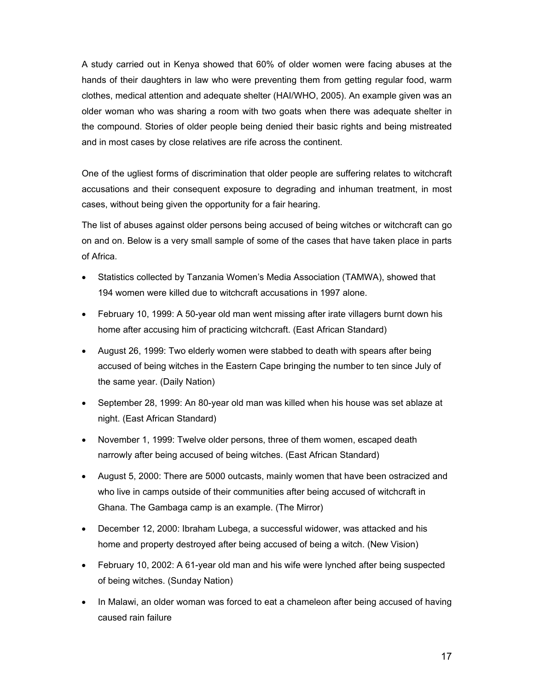A study carried out in Kenya showed that 60% of older women were facing abuses at the hands of their daughters in law who were preventing them from getting regular food, warm clothes, medical attention and adequate shelter (HAI/WHO, 2005). An example given was an older woman who was sharing a room with two goats when there was adequate shelter in the compound. Stories of older people being denied their basic rights and being mistreated and in most cases by close relatives are rife across the continent.

One of the ugliest forms of discrimination that older people are suffering relates to witchcraft accusations and their consequent exposure to degrading and inhuman treatment, in most cases, without being given the opportunity for a fair hearing.

The list of abuses against older persons being accused of being witches or witchcraft can go on and on. Below is a very small sample of some of the cases that have taken place in parts of Africa.

- Statistics collected by Tanzania Women's Media Association (TAMWA), showed that 194 women were killed due to witchcraft accusations in 1997 alone.
- February 10, 1999: A 50-year old man went missing after irate villagers burnt down his home after accusing him of practicing witchcraft. (East African Standard)
- August 26, 1999: Two elderly women were stabbed to death with spears after being accused of being witches in the Eastern Cape bringing the number to ten since July of the same year. (Daily Nation)
- September 28, 1999: An 80-year old man was killed when his house was set ablaze at night. (East African Standard)
- November 1, 1999: Twelve older persons, three of them women, escaped death narrowly after being accused of being witches. (East African Standard)
- August 5, 2000: There are 5000 outcasts, mainly women that have been ostracized and who live in camps outside of their communities after being accused of witchcraft in Ghana. The Gambaga camp is an example. (The Mirror)
- December 12, 2000: Ibraham Lubega, a successful widower, was attacked and his home and property destroyed after being accused of being a witch. (New Vision)
- February 10, 2002: A 61-year old man and his wife were lynched after being suspected of being witches. (Sunday Nation)
- In Malawi, an older woman was forced to eat a chameleon after being accused of having caused rain failure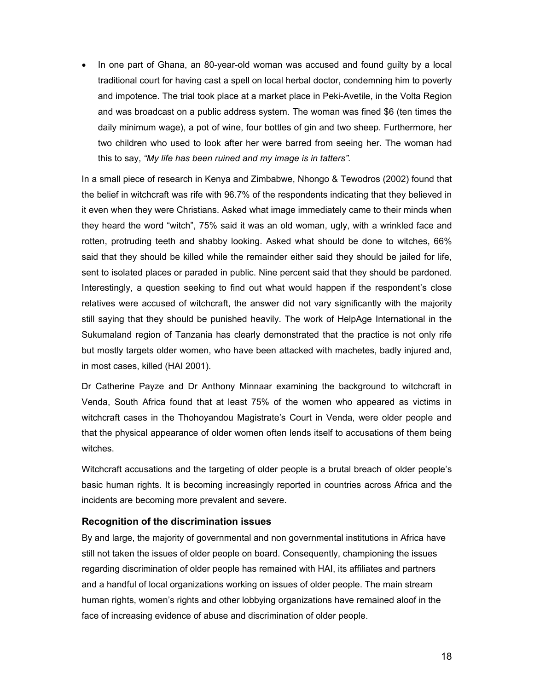• In one part of Ghana, an 80-year-old woman was accused and found guilty by a local traditional court for having cast a spell on local herbal doctor, condemning him to poverty and impotence. The trial took place at a market place in Peki-Avetile, in the Volta Region and was broadcast on a public address system. The woman was fined \$6 (ten times the daily minimum wage), a pot of wine, four bottles of gin and two sheep. Furthermore, her two children who used to look after her were barred from seeing her. The woman had this to say, *"My life has been ruined and my image is in tatters".*

In a small piece of research in Kenya and Zimbabwe, Nhongo & Tewodros (2002) found that the belief in witchcraft was rife with 96.7% of the respondents indicating that they believed in it even when they were Christians. Asked what image immediately came to their minds when they heard the word "witch", 75% said it was an old woman, ugly, with a wrinkled face and rotten, protruding teeth and shabby looking. Asked what should be done to witches, 66% said that they should be killed while the remainder either said they should be jailed for life, sent to isolated places or paraded in public. Nine percent said that they should be pardoned. Interestingly, a question seeking to find out what would happen if the respondent's close relatives were accused of witchcraft, the answer did not vary significantly with the majority still saying that they should be punished heavily. The work of HelpAge International in the Sukumaland region of Tanzania has clearly demonstrated that the practice is not only rife but mostly targets older women, who have been attacked with machetes, badly injured and, in most cases, killed (HAI 2001).

Dr Catherine Payze and Dr Anthony Minnaar examining the background to witchcraft in Venda, South Africa found that at least 75% of the women who appeared as victims in witchcraft cases in the Thohoyandou Magistrate's Court in Venda, were older people and that the physical appearance of older women often lends itself to accusations of them being witches.

Witchcraft accusations and the targeting of older people is a brutal breach of older people's basic human rights. It is becoming increasingly reported in countries across Africa and the incidents are becoming more prevalent and severe.

## **Recognition of the discrimination issues**

By and large, the majority of governmental and non governmental institutions in Africa have still not taken the issues of older people on board. Consequently, championing the issues regarding discrimination of older people has remained with HAI, its affiliates and partners and a handful of local organizations working on issues of older people. The main stream human rights, women's rights and other lobbying organizations have remained aloof in the face of increasing evidence of abuse and discrimination of older people.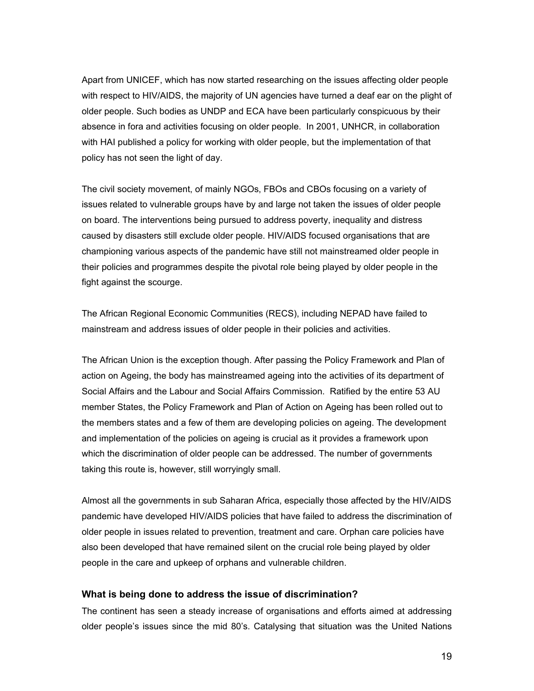Apart from UNICEF, which has now started researching on the issues affecting older people with respect to HIV/AIDS, the majority of UN agencies have turned a deaf ear on the plight of older people. Such bodies as UNDP and ECA have been particularly conspicuous by their absence in fora and activities focusing on older people. In 2001, UNHCR, in collaboration with HAI published a policy for working with older people, but the implementation of that policy has not seen the light of day.

The civil society movement, of mainly NGOs, FBOs and CBOs focusing on a variety of issues related to vulnerable groups have by and large not taken the issues of older people on board. The interventions being pursued to address poverty, inequality and distress caused by disasters still exclude older people. HIV/AIDS focused organisations that are championing various aspects of the pandemic have still not mainstreamed older people in their policies and programmes despite the pivotal role being played by older people in the fight against the scourge.

The African Regional Economic Communities (RECS), including NEPAD have failed to mainstream and address issues of older people in their policies and activities.

The African Union is the exception though. After passing the Policy Framework and Plan of action on Ageing, the body has mainstreamed ageing into the activities of its department of Social Affairs and the Labour and Social Affairs Commission. Ratified by the entire 53 AU member States, the Policy Framework and Plan of Action on Ageing has been rolled out to the members states and a few of them are developing policies on ageing. The development and implementation of the policies on ageing is crucial as it provides a framework upon which the discrimination of older people can be addressed. The number of governments taking this route is, however, still worryingly small.

Almost all the governments in sub Saharan Africa, especially those affected by the HIV/AIDS pandemic have developed HIV/AIDS policies that have failed to address the discrimination of older people in issues related to prevention, treatment and care. Orphan care policies have also been developed that have remained silent on the crucial role being played by older people in the care and upkeep of orphans and vulnerable children.

## **What is being done to address the issue of discrimination?**

The continent has seen a steady increase of organisations and efforts aimed at addressing older people's issues since the mid 80's. Catalysing that situation was the United Nations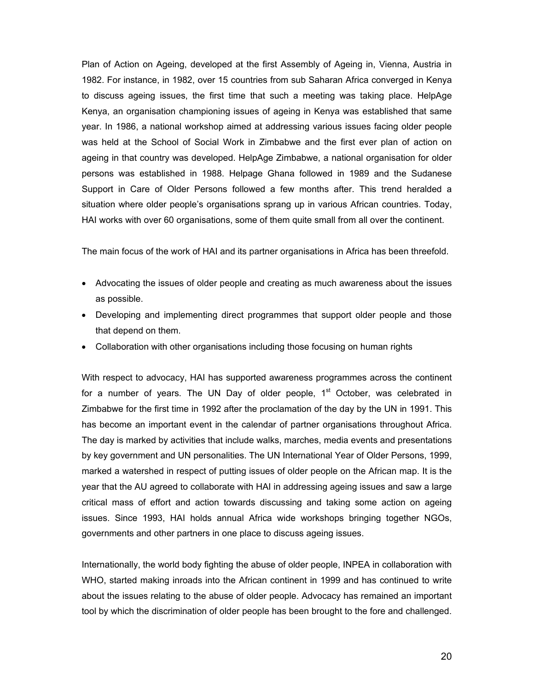Plan of Action on Ageing, developed at the first Assembly of Ageing in, Vienna, Austria in 1982. For instance, in 1982, over 15 countries from sub Saharan Africa converged in Kenya to discuss ageing issues, the first time that such a meeting was taking place. HelpAge Kenya, an organisation championing issues of ageing in Kenya was established that same year. In 1986, a national workshop aimed at addressing various issues facing older people was held at the School of Social Work in Zimbabwe and the first ever plan of action on ageing in that country was developed. HelpAge Zimbabwe, a national organisation for older persons was established in 1988. Helpage Ghana followed in 1989 and the Sudanese Support in Care of Older Persons followed a few months after. This trend heralded a situation where older people's organisations sprang up in various African countries. Today, HAI works with over 60 organisations, some of them quite small from all over the continent.

The main focus of the work of HAI and its partner organisations in Africa has been threefold.

- Advocating the issues of older people and creating as much awareness about the issues as possible.
- Developing and implementing direct programmes that support older people and those that depend on them.
- Collaboration with other organisations including those focusing on human rights

With respect to advocacy, HAI has supported awareness programmes across the continent for a number of years. The UN Day of older people,  $1<sup>st</sup>$  October, was celebrated in Zimbabwe for the first time in 1992 after the proclamation of the day by the UN in 1991. This has become an important event in the calendar of partner organisations throughout Africa. The day is marked by activities that include walks, marches, media events and presentations by key government and UN personalities. The UN International Year of Older Persons, 1999, marked a watershed in respect of putting issues of older people on the African map. It is the year that the AU agreed to collaborate with HAI in addressing ageing issues and saw a large critical mass of effort and action towards discussing and taking some action on ageing issues. Since 1993, HAI holds annual Africa wide workshops bringing together NGOs, governments and other partners in one place to discuss ageing issues.

Internationally, the world body fighting the abuse of older people, INPEA in collaboration with WHO, started making inroads into the African continent in 1999 and has continued to write about the issues relating to the abuse of older people. Advocacy has remained an important tool by which the discrimination of older people has been brought to the fore and challenged.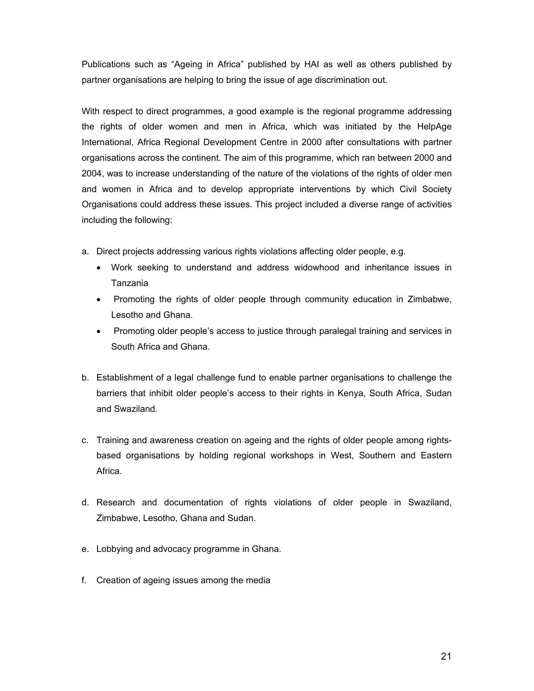Publications such as "Ageing in Africa" published by HAI as well as others published by partner organisations are helping to bring the issue of age discrimination out.

With respect to direct programmes, a good example is the regional programme addressing the rights of older women and men in Africa, which was initiated by the HelpAge International, Africa Regional Development Centre in 2000 after consultations with partner organisations across the continent. The aim of this programme, which ran between 2000 and 2004, was to increase understanding of the nature of the violations of the rights of older men and women in Africa and to develop appropriate interventions by which Civil Society Organisations could address these issues. This project included a diverse range of activities including the following:

- a. Direct projects addressing various rights violations affecting older people, e.g.
	- Work seeking to understand and address widowhood and inheritance issues in Tanzania
	- Promoting the rights of older people through community education in Zimbabwe, Lesotho and Ghana.
	- Promoting older people's access to justice through paralegal training and services in South Africa and Ghana.
- b. Establishment of a legal challenge fund to enable partner organisations to challenge the barriers that inhibit older people's access to their rights in Kenya, South Africa, Sudan and Swaziland.
- c. Training and awareness creation on ageing and the rights of older people among rightsbased organisations by holding regional workshops in West, Southern and Eastern Africa.
- d. Research and documentation of rights violations of older people in Swaziland, Zimbabwe, Lesotho, Ghana and Sudan.
- e. Lobbying and advocacy programme in Ghana.
- f. Creation of ageing issues among the media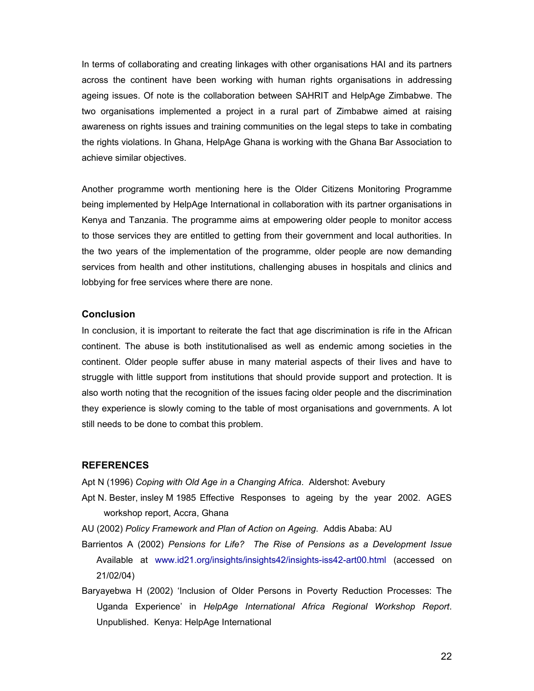In terms of collaborating and creating linkages with other organisations HAI and its partners across the continent have been working with human rights organisations in addressing ageing issues. Of note is the collaboration between SAHRIT and HelpAge Zimbabwe. The two organisations implemented a project in a rural part of Zimbabwe aimed at raising awareness on rights issues and training communities on the legal steps to take in combating the rights violations. In Ghana, HelpAge Ghana is working with the Ghana Bar Association to achieve similar objectives.

Another programme worth mentioning here is the Older Citizens Monitoring Programme being implemented by HelpAge International in collaboration with its partner organisations in Kenya and Tanzania. The programme aims at empowering older people to monitor access to those services they are entitled to getting from their government and local authorities. In the two years of the implementation of the programme, older people are now demanding services from health and other institutions, challenging abuses in hospitals and clinics and lobbying for free services where there are none.

#### **Conclusion**

In conclusion, it is important to reiterate the fact that age discrimination is rife in the African continent. The abuse is both institutionalised as well as endemic among societies in the continent. Older people suffer abuse in many material aspects of their lives and have to struggle with little support from institutions that should provide support and protection. It is also worth noting that the recognition of the issues facing older people and the discrimination they experience is slowly coming to the table of most organisations and governments. A lot still needs to be done to combat this problem.

#### **REFERENCES**

Apt N (1996) *Coping with Old Age in a Changing Africa*. Aldershot: Avebury

- Apt N. Bester, insley M 1985 Effective Responses to ageing by the year 2002. AGES workshop report, Accra, Ghana
- AU (2002) *Policy Framework and Plan of Action on Ageing*. Addis Ababa: AU
- Barrientos A (2002) *Pensions for Life? The Rise of Pensions as a Development Issue* Available at www.id21.org/insights/insights42/insights-iss42-art00.html (accessed on 21/02/04)
- Baryayebwa H (2002) 'Inclusion of Older Persons in Poverty Reduction Processes: The Uganda Experience' in *HelpAge International Africa Regional Workshop Report*. Unpublished. Kenya: HelpAge International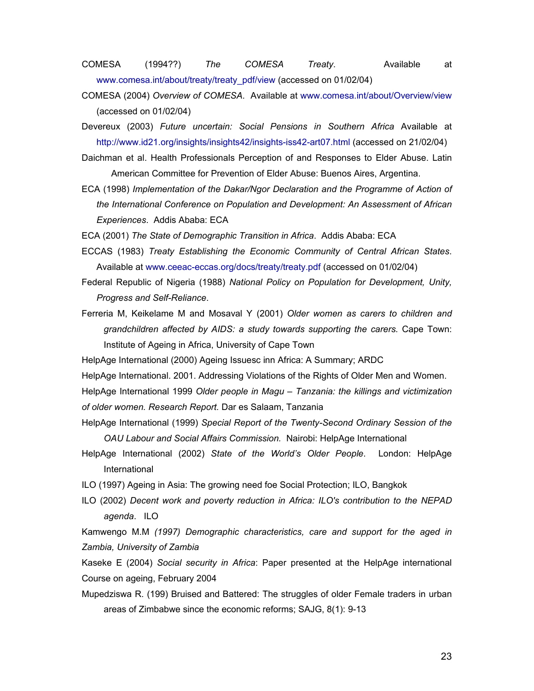COMESA (1994??) *The COMESA Treaty*. Available at www.comesa.int/about/treaty/treaty\_pdf/view (accessed on 01/02/04)

- COMESA (2004) *Overview of COMESA*. Available at www.comesa.int/about/Overview/view (accessed on 01/02/04)
- Devereux (2003) *Future uncertain: Social Pensions in Southern Africa* Available at http://www.id21.org/insights/insights42/insights-iss42-art07.html (accessed on 21/02/04)

Daichman et al. Health Professionals Perception of and Responses to Elder Abuse. Latin American Committee for Prevention of Elder Abuse: Buenos Aires, Argentina.

ECA (1998) *Implementation of the Dakar/Ngor Declaration and the Programme of Action of the International Conference on Population and Development: An Assessment of African Experiences*. Addis Ababa: ECA

ECA (2001) *The State of Demographic Transition in Africa*. Addis Ababa: ECA

- ECCAS (1983) *Treaty Establishing the Economic Community of Central African States*. Available at www.ceeac-eccas.org/docs/treaty/treaty.pdf (accessed on 01/02/04)
- Federal Republic of Nigeria (1988) *National Policy on Population for Development, Unity, Progress and Self-Reliance*.
- Ferreria M, Keikelame M and Mosaval Y (2001) *Older women as carers to children and grandchildren affected by AIDS: a study towards supporting the carers.* Cape Town: Institute of Ageing in Africa, University of Cape Town
- HelpAge International (2000) Ageing Issuesc inn Africa: A Summary; ARDC
- HelpAge International. 2001. Addressing Violations of the Rights of Older Men and Women.

HelpAge International 1999 *Older people in Magu – Tanzania: the killings and victimization of older women. Research Report.* Dar es Salaam, Tanzania

- HelpAge International (1999) *Special Report of the Twenty-Second Ordinary Session of the OAU Labour and Social Affairs Commission.* Nairobi: HelpAge International
- HelpAge International (2002) *State of the World's Older People*. London: HelpAge International
- ILO (1997) Ageing in Asia: The growing need foe Social Protection; ILO, Bangkok
- ILO (2002) *Decent work and poverty reduction in Africa: ILO's contribution to the NEPAD agenda*. ILO

Kamwengo M.M *(1997) Demographic characteristics, care and support for the aged in Zambia, University of Zambia* 

Kaseke E (2004) *Social security in Africa*: Paper presented at the HelpAge international Course on ageing, February 2004

Mupedziswa R. (199) Bruised and Battered: The struggles of older Female traders in urban areas of Zimbabwe since the economic reforms; SAJG, 8(1): 9-13